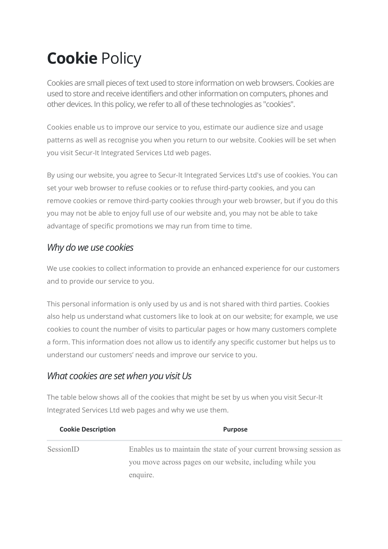# Cookie Policy

Cookies are small pieces of text used to store information on web browsers. Cookies are used to store and receive identifiers and other information on computers, phones and other devices. In this policy, we refer to all of these technologies as "cookies".

Cookies enable us to improve our service to you, estimate our audience size and usage patterns as well as recognise you when you return to our website. Cookies will be set when you visit Secur-It Integrated Services Ltd web pages.

By using our website, you agree to Secur-It Integrated Services Ltd's use of cookies. You can set your web browser to refuse cookies or to refuse third-party cookies, and you can remove cookies or remove third-party cookies through your web browser, but if you do this you may not be able to enjoy full use of our website and, you may not be able to take advantage of specific promotions we may run from time to time.

## Why do we use cookies

We use cookies to collect information to provide an enhanced experience for our customers and to provide our service to you.

This personal information is only used by us and is not shared with third parties. Cookies also help us understand what customers like to look at on our website; for example, we use cookies to count the number of visits to particular pages or how many customers complete a form. This information does not allow us to identify any specific customer but helps us to understand our customers' needs and improve our service to you.

## What cookies are set when you visit Us

The table below shows all of the cookies that might be set by us when you visit Secur-It Integrated Services Ltd web pages and why we use them.

| <b>Cookie Description</b> | <b>Purpose</b>                                                       |
|---------------------------|----------------------------------------------------------------------|
| SessionID                 | Enables us to maintain the state of your current browsing session as |
|                           | you move across pages on our website, including while you            |
|                           | enquire.                                                             |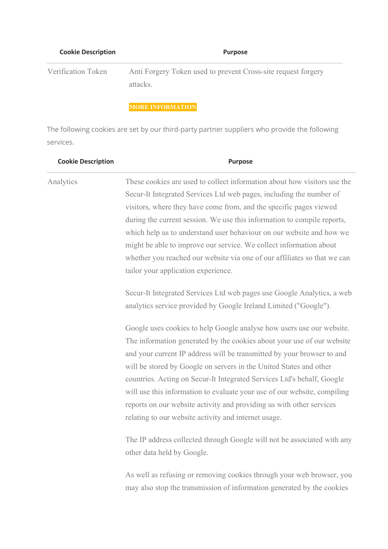| <b>Cookie Description</b> | <b>Purpose</b>                                                            |
|---------------------------|---------------------------------------------------------------------------|
| Verification Token        | Anti Forgery Token used to prevent Cross-site request forgery<br>attacks. |

## MORE INFORMATION

The following cookies are set by our third-party partner suppliers who provide the following services.

| <b>Cookie Description</b> | <b>Purpose</b>                                                                                                                                                                                                                                                                                                                                                                                                                                                                                                                                                                        |
|---------------------------|---------------------------------------------------------------------------------------------------------------------------------------------------------------------------------------------------------------------------------------------------------------------------------------------------------------------------------------------------------------------------------------------------------------------------------------------------------------------------------------------------------------------------------------------------------------------------------------|
| Analytics                 | These cookies are used to collect information about how visitors use the<br>Secur-It Integrated Services Ltd web pages, including the number of<br>visitors, where they have come from, and the specific pages viewed<br>during the current session. We use this information to compile reports,<br>which help us to understand user behaviour on our website and how we<br>might be able to improve our service. We collect information about<br>whether you reached our website via one of our affiliates so that we can<br>tailor your application experience.                     |
|                           | Secur-It Integrated Services Ltd web pages use Google Analytics, a web<br>analytics service provided by Google Ireland Limited ("Google").                                                                                                                                                                                                                                                                                                                                                                                                                                            |
|                           | Google uses cookies to help Google analyse how users use our website.<br>The information generated by the cookies about your use of our website<br>and your current IP address will be transmitted by your browser to and<br>will be stored by Google on servers in the United States and other<br>countries. Acting on Secur-It Integrated Services Ltd's behalf, Google<br>will use this information to evaluate your use of our website, compiling<br>reports on our website activity and providing us with other services<br>relating to our website activity and internet usage. |
|                           | The IP address collected through Google will not be associated with any<br>other data held by Google.                                                                                                                                                                                                                                                                                                                                                                                                                                                                                 |
|                           | As well as refusing or removing cookies through your web browser, you<br>may also stop the transmission of information generated by the cookies                                                                                                                                                                                                                                                                                                                                                                                                                                       |